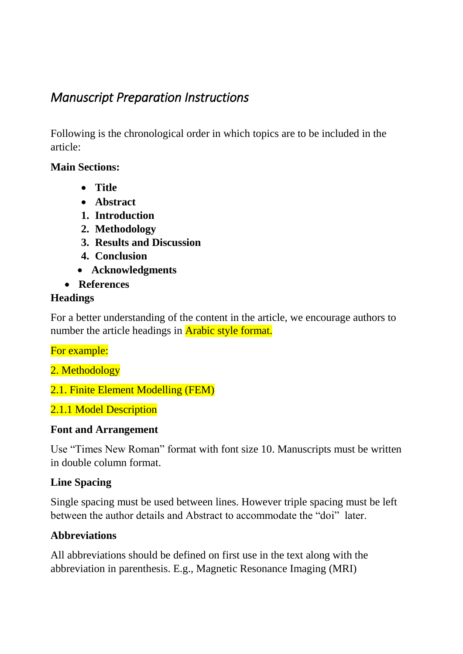# *Manuscript Preparation Instructions*

Following is the chronological order in which topics are to be included in the article:

### **Main Sections:**

- **Title**
- **Abstract**
- **1. Introduction**
- **2. Methodology**
- **3. Results and Discussion**
- **4. Conclusion**
- **Acknowledgments**
- **References**

### **Headings**

For a better understanding of the content in the article, we encourage authors to number the article headings in **Arabic style format.** 

For example:

- 2. Methodology
- 2.1. Finite Element Modelling (FEM)

# 2.1.1 Model Description

### **Font and Arrangement**

Use "Times New Roman" format with font size 10. Manuscripts must be written in double column format.

# **Line Spacing**

Single spacing must be used between lines. However triple spacing must be left between the author details and Abstract to accommodate the "doi" later.

# **Abbreviations**

All abbreviations should be defined on first use in the text along with the abbreviation in parenthesis. E.g., Magnetic Resonance Imaging (MRI)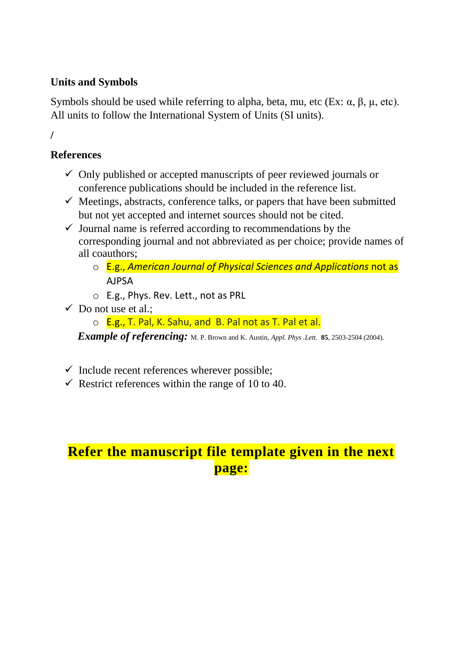# **Units and Symbols**

Symbols should be used while referring to alpha, beta, mu, etc (Ex:  $\alpha$ ,  $\beta$ ,  $\mu$ , etc). All units to follow the International System of Units (SI units).

**/**

# **References**

- $\checkmark$  Only published or accepted manuscripts of peer reviewed journals or conference publications should be included in the reference list.
- $\checkmark$  Meetings, abstracts, conference talks, or papers that have been submitted but not yet accepted and internet sources should not be cited.
- $\checkmark$  Journal name is referred according to recommendations by the corresponding journal and not abbreviated as per choice; provide names of all coauthors;
	- o E.g., *American Journal of Physical Sciences and Applications* not as AJPSA
	- o E.g., Phys. Rev. Lett., not as PRL
- $\checkmark$  Do not use et al.;
	- E.g., T. Pal, K. Sahu, and B. Pal not as T. Pal et al.

 *Example of referencing:* M. P. Brown and K. Austin, *Appl. Phys .Lett.* **85**, 2503-2504 (2004).

- $\checkmark$  Include recent references wherever possible;
- Restrict references within the range of 10 to 40.

# **Refer the manuscript file template given in the next page:**